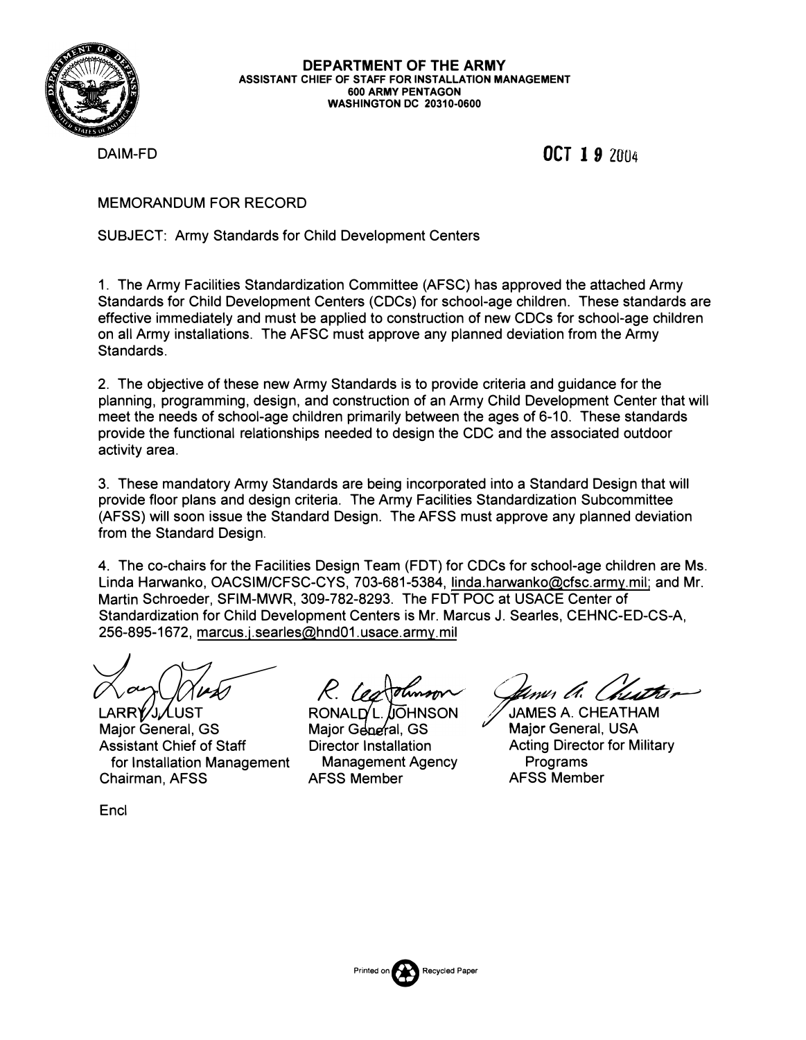

#### **DEPARTMENT OF THE ARMY ASSISTANT CHIEF OF STAFF FOR INSTALLATION MANAGEMENT 600 ARMY PENTAGON WASHINGTON DC 20310-0600**

DAIM-FD **OCT I** *9* 2004

### MEMORANDUM FOR RECORD

### SUBJECT: Army Standards for Child Development Centers

1. The Army Facilities Standardization Committee (AFSC) has approved the attached Army Standards for Child Development Centers (CDCs) for school-age children. These standards are effective immediately and must be applied to construction of new CDCs for school-age children on all Army installations. The AFSC must approve any planned deviation from the Army Standards.

2. The objective of these new Army Standards is to provide criteria and guidance for the planning, programming, design, and construction of an Army Child Development Center that will meet the needs of school-age children primarily between the ages of 6-10. These standards provide the functional relationships needed to design the CDC and the associated outdoor activity area.

3. These mandatory Army Standards are being incorporated into a Standard Design that will provide floor plans and design criteria. The Army Facilities Standardization Subcommittee (AFSS) will soon issue the Standard Design. The AFSS must approve any planned deviation from the Standard Design.

4. The co-chairs for the Facilities Design Team (FDT) for CDCs for school-age children are Ms. Linda Harwanko, OACSIM/CFSC-CYS, 703-681-5384, linda.harwanko@cfsc.army.mil; and Mr. Martin Schroeder, SFIM-MWR, 309-782-8293. The FDT POC at USACE Center of Standardization for Child Development Centers is Mr. Marcus J. Searles, CEHNC-ED-CS-A, 256-895-1672, marcus.j.searles@hnd01.usace.army.mil

Avery *(Aver)*<br>LARRY JAUST<br>Major General, GS Assistant Chief of Staff for Installation Management Chairman, AFSS

*R* 

*damer Ch. Cheath*<br>James A. Cheatham

RONALD' L. JIOHNSON Major General, GS Director Installation Management Agency AFSS Member

Major General, USA Acting Director for Military Programs AFSS Member

**Encl** 

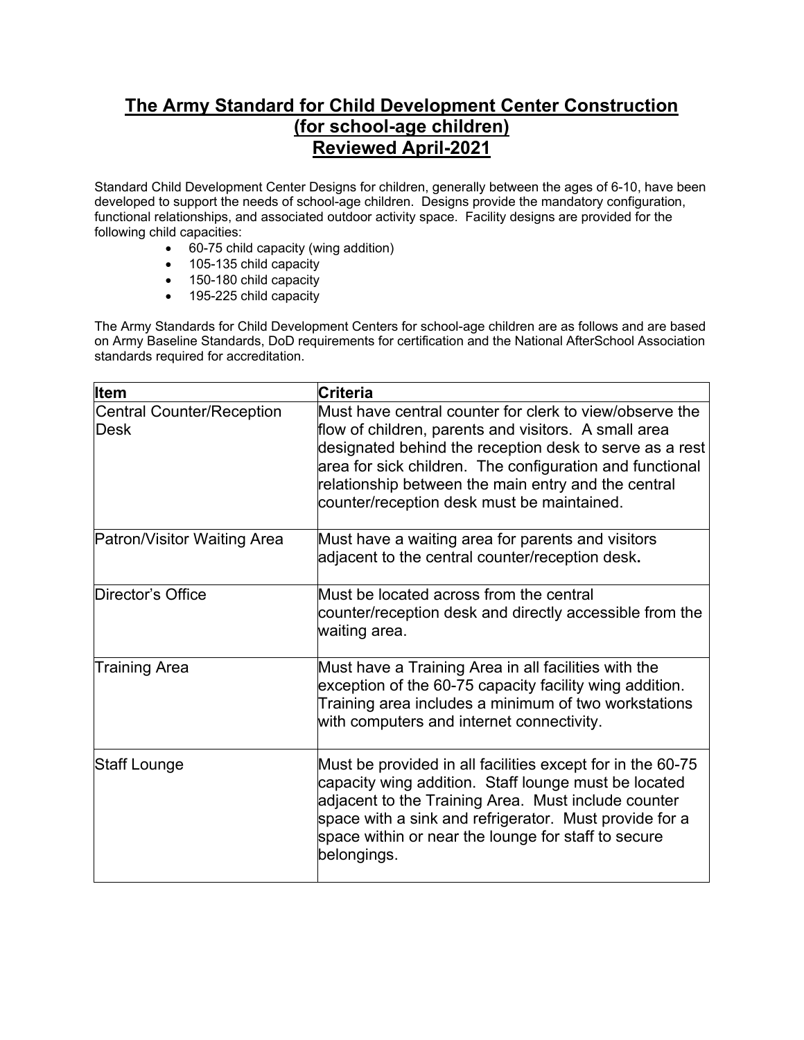# **The Army Standard for Child Development Center Construction (for school-age children) Reviewed April-2021**

Standard Child Development Center Designs for children, generally between the ages of 6-10, have been developed to support the needs of school-age children. Designs provide the mandatory configuration, functional relationships, and associated outdoor activity space. Facility designs are provided for the following child capacities:

- 60-75 child capacity (wing addition)
- 105-135 child capacity
- 150-180 child capacity
- 195-225 child capacity

The Army Standards for Child Development Centers for school-age children are as follows and are based on Army Baseline Standards, DoD requirements for certification and the National AfterSchool Association standards required for accreditation.

| <b>Item</b>                                     | <b>Criteria</b>                                                                                                                                                                                                                                                                                                                             |
|-------------------------------------------------|---------------------------------------------------------------------------------------------------------------------------------------------------------------------------------------------------------------------------------------------------------------------------------------------------------------------------------------------|
| <b>Central Counter/Reception</b><br><b>Desk</b> | Must have central counter for clerk to view/observe the<br>flow of children, parents and visitors. A small area<br>designated behind the reception desk to serve as a rest<br>area for sick children. The configuration and functional<br>relationship between the main entry and the central<br>counter/reception desk must be maintained. |
| Patron/Visitor Waiting Area                     | Must have a waiting area for parents and visitors<br>adjacent to the central counter/reception desk.                                                                                                                                                                                                                                        |
| Director's Office                               | Must be located across from the central<br>counter/reception desk and directly accessible from the<br>waiting area.                                                                                                                                                                                                                         |
| <b>Training Area</b>                            | Must have a Training Area in all facilities with the<br>exception of the 60-75 capacity facility wing addition.<br>Training area includes a minimum of two workstations<br>with computers and internet connectivity.                                                                                                                        |
| Staff Lounge                                    | Must be provided in all facilities except for in the 60-75<br>capacity wing addition. Staff lounge must be located<br>adjacent to the Training Area. Must include counter<br>space with a sink and refrigerator. Must provide for a<br>space within or near the lounge for staff to secure<br>belongings.                                   |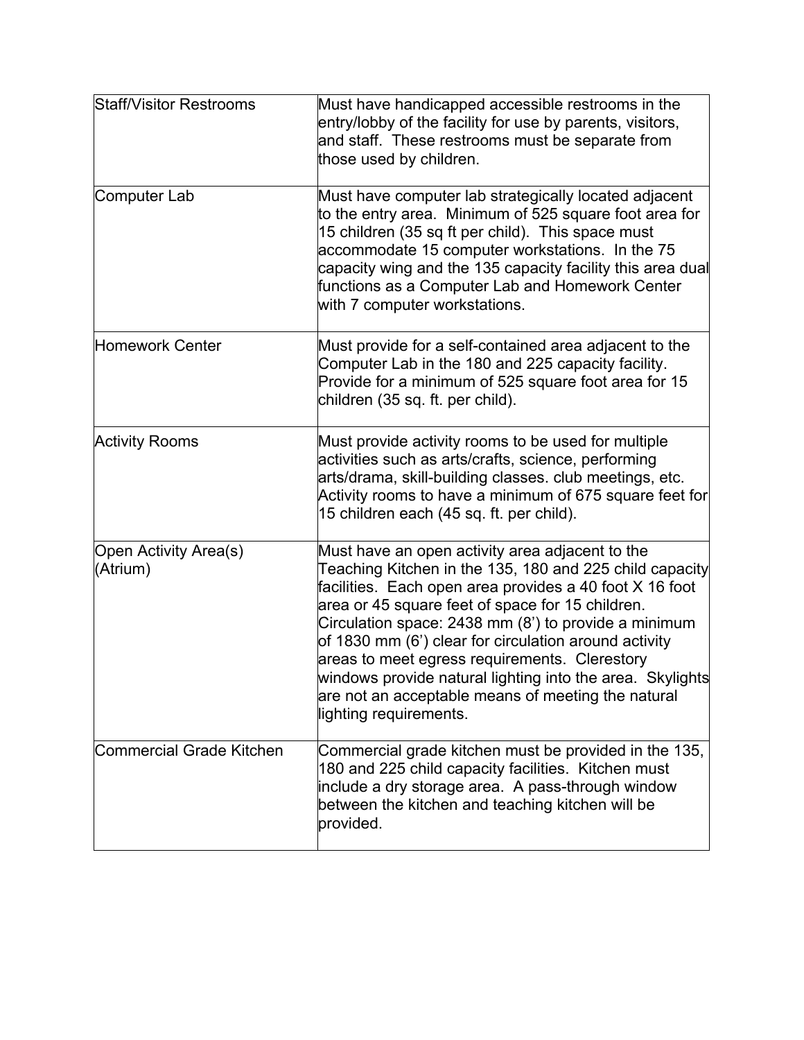| <b>Staff/Visitor Restrooms</b>    | Must have handicapped accessible restrooms in the<br>entry/lobby of the facility for use by parents, visitors,<br>and staff. These restrooms must be separate from<br>those used by children.                                                                                                                                                                                                                                                                                                                                            |
|-----------------------------------|------------------------------------------------------------------------------------------------------------------------------------------------------------------------------------------------------------------------------------------------------------------------------------------------------------------------------------------------------------------------------------------------------------------------------------------------------------------------------------------------------------------------------------------|
| Computer Lab                      | Must have computer lab strategically located adjacent<br>to the entry area. Minimum of 525 square foot area for<br>15 children (35 sq ft per child). This space must<br>accommodate 15 computer workstations. In the 75<br>capacity wing and the 135 capacity facility this area dual<br>functions as a Computer Lab and Homework Center<br>with 7 computer workstations.                                                                                                                                                                |
| Homework Center                   | Must provide for a self-contained area adjacent to the<br>Computer Lab in the 180 and 225 capacity facility.<br>Provide for a minimum of 525 square foot area for 15<br>children (35 sq. ft. per child).                                                                                                                                                                                                                                                                                                                                 |
| <b>Activity Rooms</b>             | Must provide activity rooms to be used for multiple<br>activities such as arts/crafts, science, performing<br>arts/drama, skill-building classes. club meetings, etc.<br>Activity rooms to have a minimum of 675 square feet for<br>15 children each (45 sq. ft. per child).                                                                                                                                                                                                                                                             |
| Open Activity Area(s)<br>(Atrium) | Must have an open activity area adjacent to the<br>Teaching Kitchen in the 135, 180 and 225 child capacity<br>facilities. Each open area provides a 40 foot X 16 foot<br>area or 45 square feet of space for 15 children.<br>Circulation space: 2438 mm (8') to provide a minimum<br>of 1830 mm (6') clear for circulation around activity<br>areas to meet egress requirements. Clerestory<br>windows provide natural lighting into the area. Skylights<br>are not an acceptable means of meeting the natural<br>lighting requirements. |
| <b>Commercial Grade Kitchen</b>   | Commercial grade kitchen must be provided in the 135,<br>180 and 225 child capacity facilities. Kitchen must<br>include a dry storage area. A pass-through window<br>between the kitchen and teaching kitchen will be<br>provided.                                                                                                                                                                                                                                                                                                       |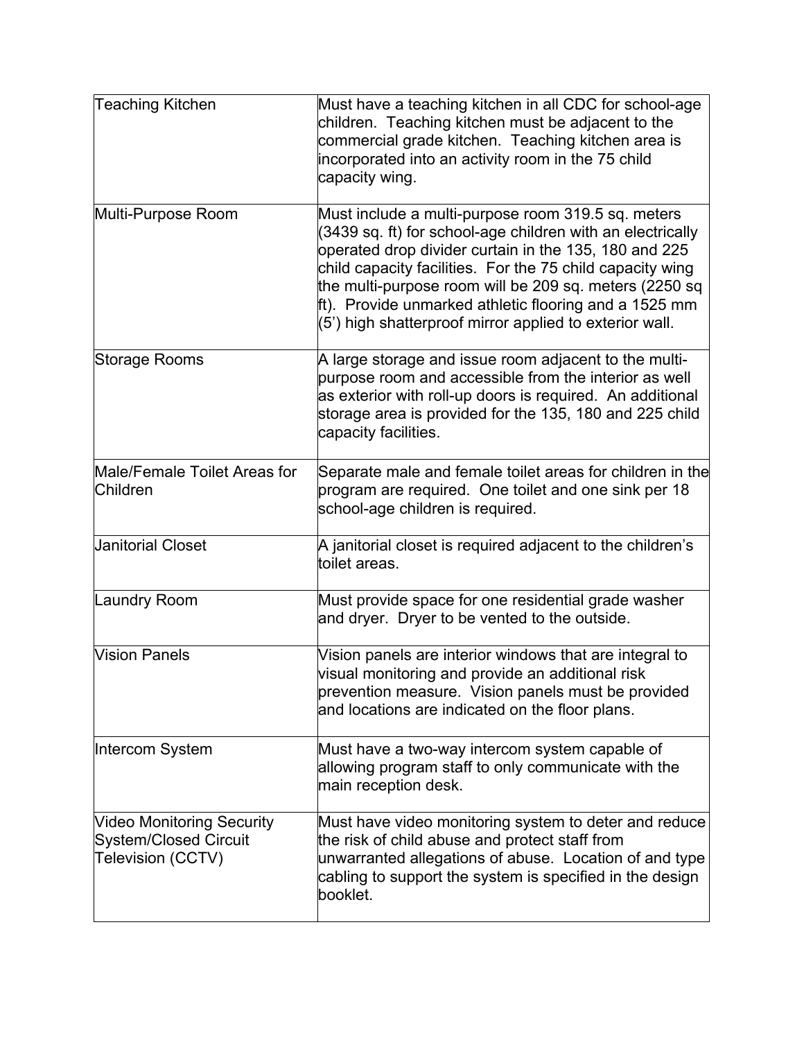| <b>Teaching Kitchen</b>                                                               | Must have a teaching kitchen in all CDC for school-age<br>children. Teaching kitchen must be adjacent to the<br>commercial grade kitchen. Teaching kitchen area is<br>incorporated into an activity room in the 75 child<br>capacity wing.                                                                                                                                                                          |
|---------------------------------------------------------------------------------------|---------------------------------------------------------------------------------------------------------------------------------------------------------------------------------------------------------------------------------------------------------------------------------------------------------------------------------------------------------------------------------------------------------------------|
| Multi-Purpose Room                                                                    | Must include a multi-purpose room 319.5 sq. meters<br>(3439 sq. ft) for school-age children with an electrically<br>operated drop divider curtain in the 135, 180 and 225<br>child capacity facilities. For the 75 child capacity wing<br>the multi-purpose room will be 209 sq. meters (2250 sq<br>ft). Provide unmarked athletic flooring and a 1525 mm<br>(5) high shatterproof mirror applied to exterior wall. |
| Storage Rooms                                                                         | A large storage and issue room adjacent to the multi-<br>purpose room and accessible from the interior as well<br>as exterior with roll-up doors is required. An additional<br>storage area is provided for the 135, 180 and 225 child<br>capacity facilities.                                                                                                                                                      |
| Male/Female Toilet Areas for<br>Children                                              | Separate male and female toilet areas for children in the<br>program are required. One toilet and one sink per 18<br>school-age children is required.                                                                                                                                                                                                                                                               |
| <b>Janitorial Closet</b>                                                              | A janitorial closet is required adjacent to the children's<br>toilet areas.                                                                                                                                                                                                                                                                                                                                         |
| <b>Laundry Room</b>                                                                   | Must provide space for one residential grade washer<br>and dryer. Dryer to be vented to the outside.                                                                                                                                                                                                                                                                                                                |
| Vision Panels                                                                         | Vision panels are interior windows that are integral to<br>visual monitoring and provide an additional risk<br>prevention measure. Vision panels must be provided<br>and locations are indicated on the floor plans.                                                                                                                                                                                                |
| Intercom System                                                                       | Must have a two-way intercom system capable of<br>allowing program staff to only communicate with the<br>main reception desk.                                                                                                                                                                                                                                                                                       |
| <b>Video Monitoring Security</b><br><b>System/Closed Circuit</b><br>Television (CCTV) | Must have video monitoring system to deter and reduce<br>the risk of child abuse and protect staff from<br>unwarranted allegations of abuse. Location of and type<br>cabling to support the system is specified in the design<br>booklet.                                                                                                                                                                           |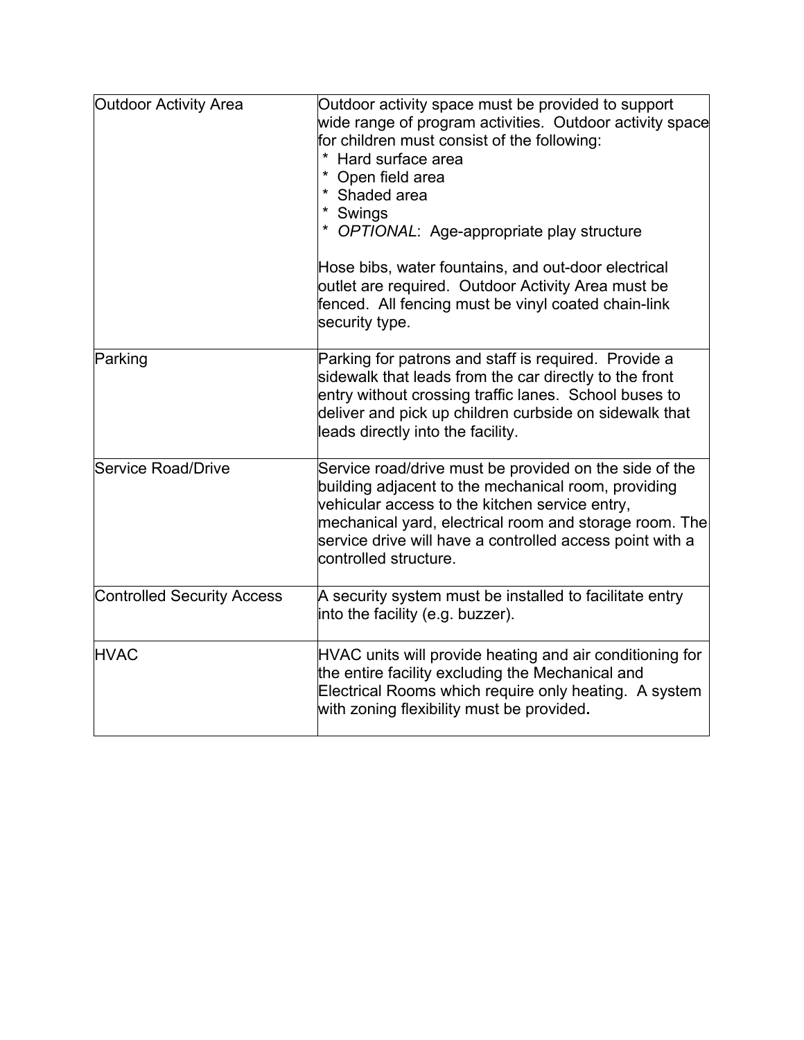| <b>Outdoor Activity Area</b>      | Outdoor activity space must be provided to support<br>wide range of program activities. Outdoor activity space<br>for children must consist of the following:<br>* Hard surface area<br>* Open field area<br>* Shaded area<br>* Swings<br>* OPTIONAL: Age-appropriate play structure<br>Hose bibs, water fountains, and out-door electrical<br>outlet are required. Outdoor Activity Area must be<br>fenced. All fencing must be vinyl coated chain-link<br>security type. |
|-----------------------------------|----------------------------------------------------------------------------------------------------------------------------------------------------------------------------------------------------------------------------------------------------------------------------------------------------------------------------------------------------------------------------------------------------------------------------------------------------------------------------|
| Parking                           | Parking for patrons and staff is required. Provide a<br>sidewalk that leads from the car directly to the front<br>entry without crossing traffic lanes. School buses to<br>deliver and pick up children curbside on sidewalk that<br>leads directly into the facility.                                                                                                                                                                                                     |
| Service Road/Drive                | Service road/drive must be provided on the side of the<br>building adjacent to the mechanical room, providing<br>vehicular access to the kitchen service entry,<br>mechanical yard, electrical room and storage room. The<br>service drive will have a controlled access point with a<br>controlled structure.                                                                                                                                                             |
| <b>Controlled Security Access</b> | A security system must be installed to facilitate entry<br>into the facility (e.g. buzzer).                                                                                                                                                                                                                                                                                                                                                                                |
| <b>HVAC</b>                       | HVAC units will provide heating and air conditioning for<br>the entire facility excluding the Mechanical and<br>Electrical Rooms which require only heating. A system<br>with zoning flexibility must be provided.                                                                                                                                                                                                                                                         |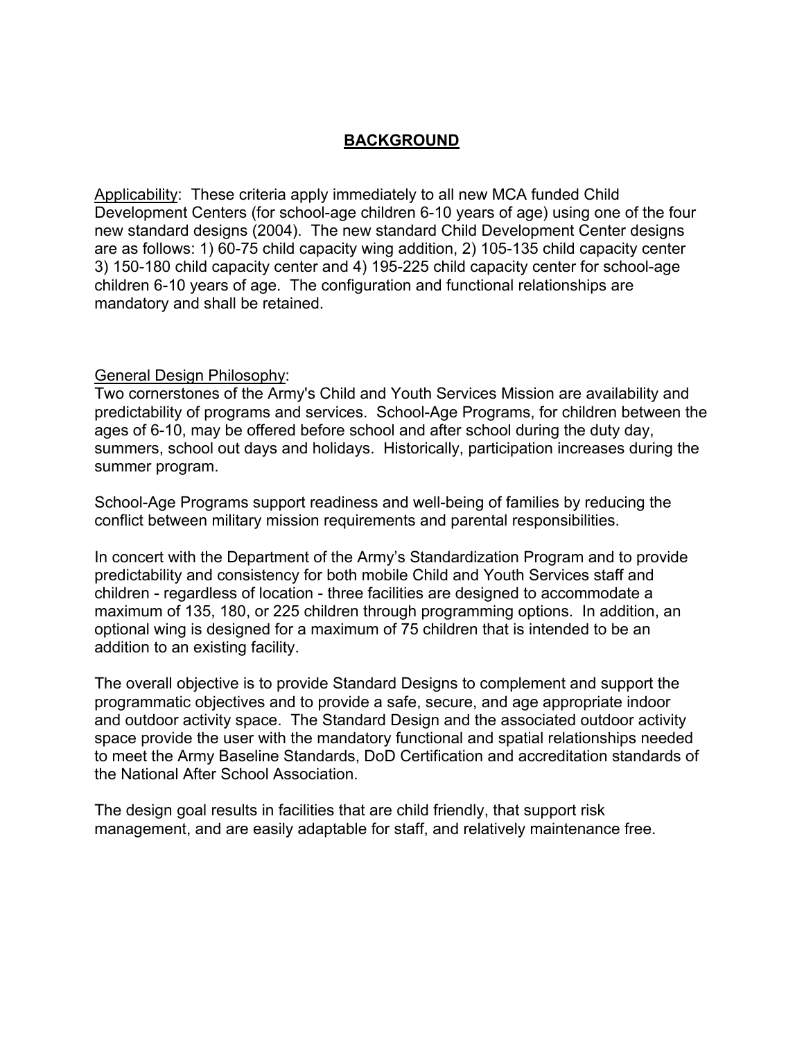# **BACKGROUND**

Applicability: These criteria apply immediately to all new MCA funded Child Development Centers (for school-age children 6-10 years of age) using one of the four new standard designs (2004). The new standard Child Development Center designs are as follows: 1) 60-75 child capacity wing addition, 2) 105-135 child capacity center 3) 150-180 child capacity center and 4) 195-225 child capacity center for school-age children 6-10 years of age. The configuration and functional relationships are mandatory and shall be retained.

### General Design Philosophy:

Two cornerstones of the Army's Child and Youth Services Mission are availability and predictability of programs and services. School-Age Programs, for children between the ages of 6-10, may be offered before school and after school during the duty day, summers, school out days and holidays. Historically, participation increases during the summer program.

School-Age Programs support readiness and well-being of families by reducing the conflict between military mission requirements and parental responsibilities.

In concert with the Department of the Army's Standardization Program and to provide predictability and consistency for both mobile Child and Youth Services staff and children - regardless of location - three facilities are designed to accommodate a maximum of 135, 180, or 225 children through programming options. In addition, an optional wing is designed for a maximum of 75 children that is intended to be an addition to an existing facility.

The overall objective is to provide Standard Designs to complement and support the programmatic objectives and to provide a safe, secure, and age appropriate indoor and outdoor activity space. The Standard Design and the associated outdoor activity space provide the user with the mandatory functional and spatial relationships needed to meet the Army Baseline Standards, DoD Certification and accreditation standards of the National After School Association.

The design goal results in facilities that are child friendly, that support risk management, and are easily adaptable for staff, and relatively maintenance free.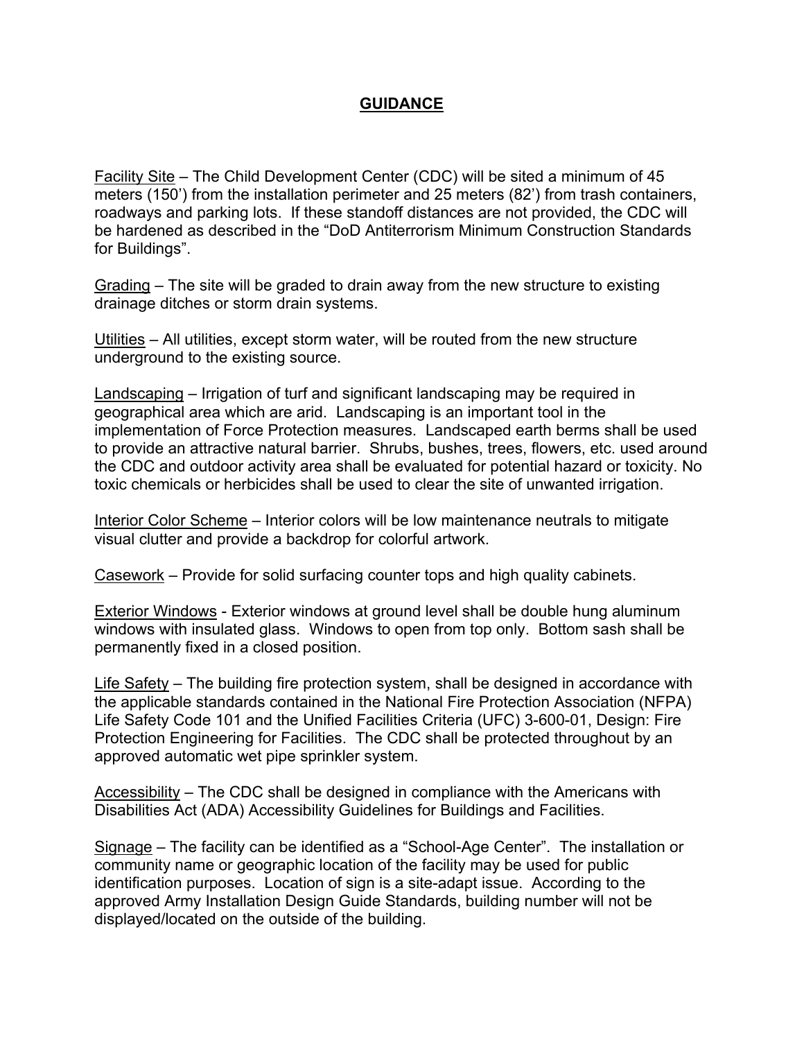## **GUIDANCE**

Facility Site – The Child Development Center (CDC) will be sited a minimum of 45 meters (150') from the installation perimeter and 25 meters (82') from trash containers, roadways and parking lots. If these standoff distances are not provided, the CDC will be hardened as described in the "DoD Antiterrorism Minimum Construction Standards for Buildings".

Grading – The site will be graded to drain away from the new structure to existing drainage ditches or storm drain systems.

Utilities – All utilities, except storm water, will be routed from the new structure underground to the existing source.

Landscaping – Irrigation of turf and significant landscaping may be required in geographical area which are arid. Landscaping is an important tool in the implementation of Force Protection measures. Landscaped earth berms shall be used to provide an attractive natural barrier. Shrubs, bushes, trees, flowers, etc. used around the CDC and outdoor activity area shall be evaluated for potential hazard or toxicity. No toxic chemicals or herbicides shall be used to clear the site of unwanted irrigation.

Interior Color Scheme – Interior colors will be low maintenance neutrals to mitigate visual clutter and provide a backdrop for colorful artwork.

Casework – Provide for solid surfacing counter tops and high quality cabinets.

Exterior Windows - Exterior windows at ground level shall be double hung aluminum windows with insulated glass. Windows to open from top only. Bottom sash shall be permanently fixed in a closed position.

Life Safety – The building fire protection system, shall be designed in accordance with the applicable standards contained in the National Fire Protection Association (NFPA) Life Safety Code 101 and the Unified Facilities Criteria (UFC) 3-600-01, Design: Fire Protection Engineering for Facilities. The CDC shall be protected throughout by an approved automatic wet pipe sprinkler system.

Accessibility – The CDC shall be designed in compliance with the Americans with Disabilities Act (ADA) Accessibility Guidelines for Buildings and Facilities.

Signage – The facility can be identified as a "School-Age Center". The installation or community name or geographic location of the facility may be used for public identification purposes. Location of sign is a site-adapt issue. According to the approved Army Installation Design Guide Standards, building number will not be displayed/located on the outside of the building.